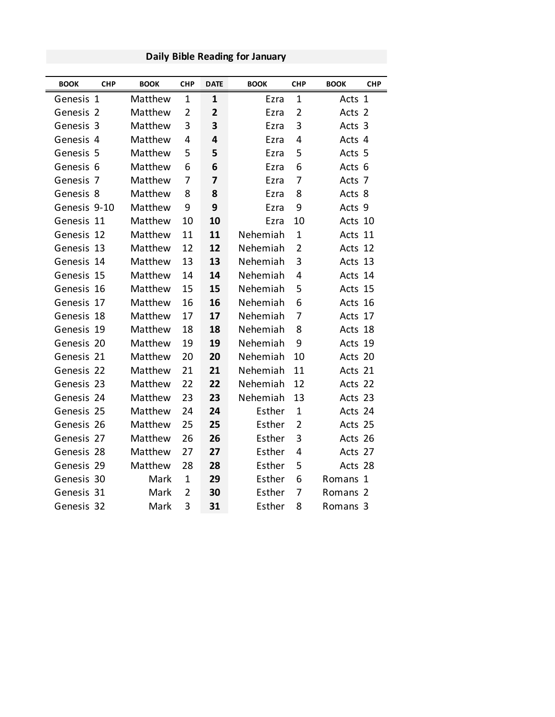| <b>BOOK</b>  | <b>CHP</b>     | <b>BOOK</b> | <b>CHP</b>     | <b>DATE</b>    | <b>BOOK</b> | <b>CHP</b>     | <b>BOOK</b> | <b>CHP</b>     |
|--------------|----------------|-------------|----------------|----------------|-------------|----------------|-------------|----------------|
| Genesis 1    |                | Matthew     | $\mathbf 1$    | 1              | Ezra        | $\mathbf 1$    | Acts 1      |                |
| Genesis 2    |                | Matthew     | $\overline{2}$ | $\overline{2}$ | Ezra        | $\overline{2}$ | Acts        | $\overline{2}$ |
| Genesis 3    |                | Matthew     | 3              | 3              | Ezra        | 3              | Acts 3      |                |
| Genesis 4    |                | Matthew     | 4              | 4              | Ezra        | $\overline{4}$ | Acts 4      |                |
| Genesis 5    |                | Matthew     | 5              | 5              | Ezra        | 5              | Acts 5      |                |
| Genesis 6    |                | Matthew     | 6              | 6              | Ezra        | 6              | Acts 6      |                |
| Genesis      | $\overline{7}$ | Matthew     | 7              | $\overline{7}$ | Ezra        | $\overline{7}$ | Acts        | -7             |
| Genesis 8    |                | Matthew     | 8              | 8              | Ezra        | 8              | Acts 8      |                |
| Genesis 9-10 |                | Matthew     | 9              | 9              | Ezra        | 9              | Acts 9      |                |
| Genesis 11   |                | Matthew     | 10             | 10             | Ezra        | 10             | Acts 10     |                |
| Genesis 12   |                | Matthew     | 11             | 11             | Nehemiah    | $\mathbf{1}$   | Acts 11     |                |
| Genesis      | 13             | Matthew     | 12             | 12             | Nehemiah    | $\overline{2}$ | Acts 12     |                |
| Genesis 14   |                | Matthew     | 13             | 13             | Nehemiah    | 3              | Acts 13     |                |
| Genesis 15   |                | Matthew     | 14             | 14             | Nehemiah    | $\overline{4}$ | Acts 14     |                |
| Genesis 16   |                | Matthew     | 15             | 15             | Nehemiah    | 5              | Acts 15     |                |
| Genesis      | 17             | Matthew     | 16             | 16             | Nehemiah    | 6              | Acts 16     |                |
| Genesis 18   |                | Matthew     | 17             | 17             | Nehemiah    | 7              | Acts 17     |                |
| Genesis      | 19             | Matthew     | 18             | 18             | Nehemiah    | 8              | Acts 18     |                |
| Genesis 20   |                | Matthew     | 19             | 19             | Nehemiah    | 9              | Acts 19     |                |
| Genesis 21   |                | Matthew     | 20             | 20             | Nehemiah    | 10             | Acts 20     |                |
| Genesis 22   |                | Matthew     | 21             | 21             | Nehemiah    | 11             | Acts 21     |                |
| Genesis 23   |                | Matthew     | 22             | 22             | Nehemiah    | 12             | Acts 22     |                |
| Genesis 24   |                | Matthew     | 23             | 23             | Nehemiah    | 13             | Acts 23     |                |
| Genesis 25   |                | Matthew     | 24             | 24             | Esther      | $\mathbf 1$    | Acts 24     |                |
| Genesis 26   |                | Matthew     | 25             | 25             | Esther      | $\overline{2}$ | Acts 25     |                |
| Genesis 27   |                | Matthew     | 26             | 26             | Esther      | 3              | Acts 26     |                |
| Genesis 28   |                | Matthew     | 27             | 27             | Esther      | 4              | Acts 27     |                |
| Genesis 29   |                | Matthew     | 28             | 28             | Esther      | 5              | Acts 28     |                |
| Genesis 30   |                | Mark        | $\mathbf 1$    | 29             | Esther      | 6              | Romans      | $\mathbf{1}$   |
| Genesis 31   |                | Mark        | $\overline{2}$ | 30             | Esther      | 7              | Romans      | -2             |
| Genesis 32   |                | Mark        | 3              | 31             | Esther      | 8              | Romans 3    |                |

### **Daily Bible Reading for January**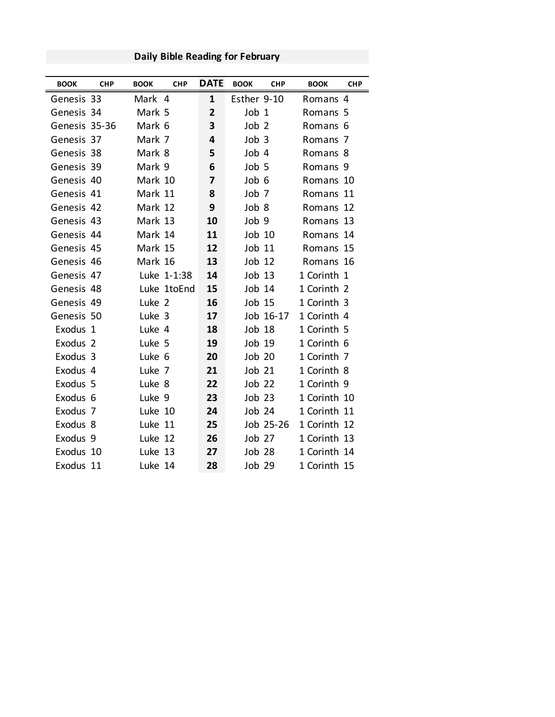| <b>BOOK</b>         | <b>CHP</b> | <b>BOOK</b> | <b>CHP</b>  | <b>DATE</b>    | <b>BOOK</b>      | <b>CHP</b> | <b>BOOK</b>         | <b>CHP</b> |
|---------------------|------------|-------------|-------------|----------------|------------------|------------|---------------------|------------|
| Genesis 33          |            | Mark 4      |             | $\mathbf{1}$   | Esther 9-10      |            | Romans 4            |            |
| Genesis 34          |            | Mark 5      |             | $\overline{2}$ | Job 1            |            | Romans 5            |            |
| Genesis 35-36       |            | Mark 6      |             | 3              | Job <sub>2</sub> |            | Romans <sub>6</sub> |            |
| Genesis 37          |            | Mark 7      |             | 4              | Job <sub>3</sub> |            | Romans 7            |            |
| Genesis 38          |            | Mark 8      |             | 5              | Job 4            |            | Romans 8            |            |
| Genesis 39          |            | Mark 9      |             | 6              | Job 5            |            | Romans 9            |            |
| Genesis 40          |            | Mark 10     |             | 7              | Job 6            |            | Romans 10           |            |
| Genesis 41          |            | Mark 11     |             | 8              | Job <sub>7</sub> |            | Romans 11           |            |
| Genesis 42          |            | Mark 12     |             | 9              | Job 8            |            | Romans 12           |            |
| Genesis 43          |            | Mark 13     |             | 10             | Job 9            |            | Romans 13           |            |
| Genesis 44          |            | Mark 14     |             | 11             | $Job$ $10$       |            | Romans 14           |            |
| Genesis 45          |            | Mark 15     |             | 12             | Job 11           |            | Romans 15           |            |
| Genesis 46          |            | Mark 16     |             | 13             | Job 12           |            | Romans 16           |            |
| Genesis 47          |            |             | Luke 1-1:38 | 14             | Job 13           |            | 1 Corinth 1         |            |
| Genesis 48          |            |             | Luke 1toEnd | 15             | Job 14           |            | 1 Corinth 2         |            |
| Genesis 49          |            | Luke 2      |             | 16             | Job 15           |            | 1 Corinth 3         |            |
| Genesis 50          |            | Luke 3      |             | 17             |                  | Job 16-17  | 1 Corinth 4         |            |
| Exodus 1            |            | Luke 4      |             | 18             | Job 18           |            | 1 Corinth 5         |            |
| Exodus <sub>2</sub> |            | Luke 5      |             | 19             | Job 19           |            | 1 Corinth 6         |            |
| Exodus 3            |            | Luke 6      |             | 20             | Job 20           |            | 1 Corinth 7         |            |
| Exodus 4            |            | Luke 7      |             | 21             | Job 21           |            | 1 Corinth 8         |            |
| Exodus 5            |            | Luke 8      |             | 22             | Job 22           |            | 1 Corinth 9         |            |
| Exodus 6            |            | Luke 9      |             | 23             | Job 23           |            | 1 Corinth 10        |            |
| Exodus 7            |            | Luke 10     |             | 24             | Job 24           |            | 1 Corinth 11        |            |
| Exodus 8            |            | Luke 11     |             | 25             |                  | Job 25-26  | 1 Corinth 12        |            |
| Exodus 9            |            | Luke 12     |             | 26             | Job 27           |            | 1 Corinth 13        |            |
| Exodus 10           |            | Luke 13     |             | 27             | Job 28           |            | 1 Corinth 14        |            |
| Exodus 11           |            | Luke 14     |             | 28             | <b>Job 29</b>    |            | 1 Corinth 15        |            |

# **Daily Bible Reading for February**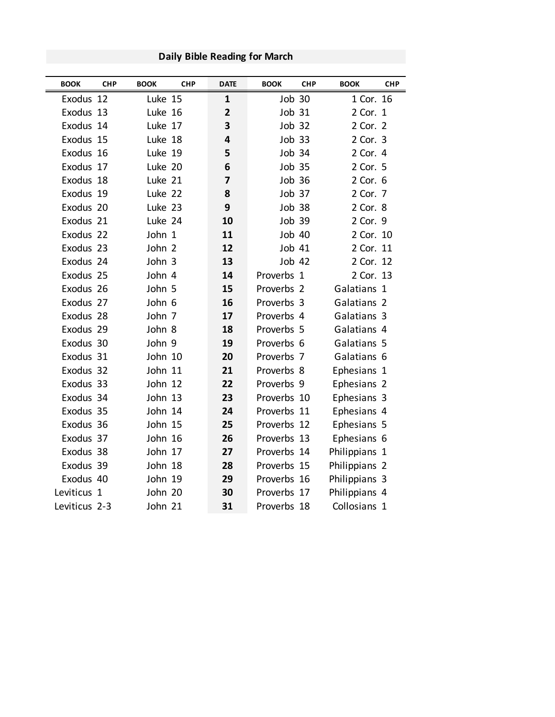| <b>BOOK</b>   | <b>CHP</b> | <b>BOOK</b> | <b>CHP</b> | <b>DATE</b>    | <b>BOOK</b>   | <b>CHP</b> | <b>BOOK</b>   | <b>CHP</b> |
|---------------|------------|-------------|------------|----------------|---------------|------------|---------------|------------|
| Exodus 12     |            | Luke 15     |            | $\mathbf{1}$   | <b>Job 30</b> |            | 1 Cor. 16     |            |
| Exodus 13     |            | Luke 16     |            | $\overline{2}$ | <b>Job 31</b> |            | 2 Cor. 1      |            |
| Exodus 14     |            | Luke 17     |            | 3              | Job 32        |            | 2 Cor. 2      |            |
| Exodus 15     |            | Luke 18     |            | 4              | Job 33        |            | 2 Cor. 3      |            |
| Exodus 16     |            | Luke 19     |            | 5              | Job 34        |            | 2 Cor. 4      |            |
| Exodus 17     |            | Luke 20     |            | 6              | <b>Job 35</b> |            | 2 Cor. 5      |            |
| Exodus 18     |            | Luke 21     |            | $\overline{7}$ | <b>Job 36</b> |            | 2 Cor. 6      |            |
| Exodus 19     |            | Luke 22     |            | 8              | Job 37        |            | 2 Cor. 7      |            |
| Exodus 20     |            | Luke 23     |            | 9              | Job 38        |            | 2 Cor. 8      |            |
| Exodus 21     |            | Luke 24     |            | 10             | <b>Job 39</b> |            | 2 Cor. 9      |            |
| Exodus 22     |            | John 1      |            | 11             | <b>Job 40</b> |            | 2 Cor. 10     |            |
| Exodus 23     |            | John 2      |            | 12             | <b>Job 41</b> |            | 2 Cor. 11     |            |
| Exodus 24     |            | John 3      |            | 13             | Job 42        |            | 2 Cor. 12     |            |
| Exodus 25     |            | John 4      |            | 14             | Proverbs 1    |            | 2 Cor. 13     |            |
| Exodus 26     |            | John 5      |            | 15             | Proverbs 2    |            | Galatians 1   |            |
| Exodus 27     |            | John 6      |            | 16             | Proverbs 3    |            | Galatians 2   |            |
| Exodus 28     |            | John 7      |            | 17             | Proverbs 4    |            | Galatians 3   |            |
| Exodus 29     |            | John 8      |            | 18             | Proverbs 5    |            | Galatians 4   |            |
| Exodus 30     |            | John 9      |            | 19             | Proverbs 6    |            | Galatians 5   |            |
| Exodus 31     |            | John 10     |            | 20             | Proverbs 7    |            | Galatians 6   |            |
| Exodus 32     |            | John 11     |            | 21             | Proverbs 8    |            | Ephesians 1   |            |
| Exodus 33     |            | John 12     |            | 22             | Proverbs 9    |            | Ephesians 2   |            |
| Exodus 34     |            | John 13     |            | 23             | Proverbs 10   |            | Ephesians 3   |            |
| Exodus 35     |            | John 14     |            | 24             | Proverbs 11   |            | Ephesians 4   |            |
| Exodus 36     |            | John 15     |            | 25             | Proverbs 12   |            | Ephesians 5   |            |
| Exodus 37     |            | John 16     |            | 26             | Proverbs 13   |            | Ephesians 6   |            |
| Exodus 38     |            | John 17     |            | 27             | Proverbs 14   |            | Philippians 1 |            |
| Exodus 39     |            | John 18     |            | 28             | Proverbs 15   |            | Philippians 2 |            |
| Exodus 40     |            | John 19     |            | 29             | Proverbs 16   |            | Philippians 3 |            |
| Leviticus 1   |            | John 20     |            | 30             | Proverbs 17   |            | Philippians 4 |            |
| Leviticus 2-3 |            | John 21     |            | 31             | Proverbs 18   |            | Collosians 1  |            |

**Daily Bible Reading for March**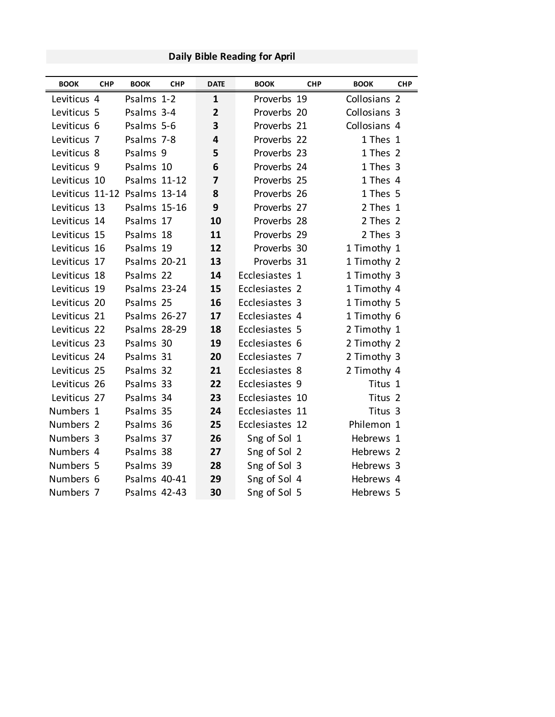| <b>BOOK</b>                  | <b>CHP</b> | <b>BOOK</b>         | <b>CHP</b> | <b>DATE</b>    | <b>BOOK</b>     | <b>CHP</b> | <b>BOOK</b>        | <b>CHP</b> |
|------------------------------|------------|---------------------|------------|----------------|-----------------|------------|--------------------|------------|
| Leviticus 4                  |            | Psalms 1-2          |            | 1              | Proverbs 19     |            | Collosians 2       |            |
| Leviticus 5                  |            | Psalms 3-4          |            | $\overline{2}$ | Proverbs 20     |            | Collosians 3       |            |
| Leviticus 6                  |            | Psalms 5-6          |            | 3              | Proverbs 21     |            | Collosians 4       |            |
| Leviticus <sub>7</sub>       |            | Psalms 7-8          |            | 4              | Proverbs 22     |            | 1 Thes 1           |            |
| Leviticus 8                  |            | Psalms 9            |            | 5              | Proverbs 23     |            | 1 Thes 2           |            |
| Leviticus 9                  |            | Psalms 10           |            | 6              | Proverbs 24     |            | 1 Thes 3           |            |
| Leviticus 10                 |            | <b>Psalms 11-12</b> |            | $\overline{7}$ | Proverbs 25     |            | 1 Thes 4           |            |
| Leviticus 11-12 Psalms 13-14 |            |                     |            | 8              | Proverbs 26     |            | 1 Thes 5           |            |
| Leviticus 13                 |            | <b>Psalms 15-16</b> |            | 9              | Proverbs 27     |            | 2 Thes 1           |            |
| Leviticus 14                 |            | Psalms 17           |            | 10             | Proverbs 28     |            | 2 Thes 2           |            |
| Leviticus 15                 |            | Psalms 18           |            | 11             | Proverbs 29     |            | 2 Thes 3           |            |
| Leviticus 16                 |            | Psalms 19           |            | 12             | Proverbs 30     |            | 1 Timothy 1        |            |
| Leviticus 17                 |            | <b>Psalms 20-21</b> |            | 13             | Proverbs 31     |            | 1 Timothy 2        |            |
| Leviticus 18                 |            | Psalms 22           |            | 14             | Ecclesiastes 1  |            | 1 Timothy 3        |            |
| Leviticus 19                 |            | <b>Psalms 23-24</b> |            | 15             | Ecclesiastes 2  |            | 1 Timothy 4        |            |
| Leviticus 20                 |            | Psalms 25           |            | 16             | Ecclesiastes 3  |            | 1 Timothy 5        |            |
| Leviticus 21                 |            | <b>Psalms 26-27</b> |            | 17             | Ecclesiastes 4  |            | 1 Timothy 6        |            |
| Leviticus 22                 |            | <b>Psalms 28-29</b> |            | 18             | Ecclesiastes 5  |            | 2 Timothy 1        |            |
| Leviticus 23                 |            | Psalms 30           |            | 19             | Ecclesiastes 6  |            | 2 Timothy 2        |            |
| Leviticus 24                 |            | Psalms 31           |            | 20             | Ecclesiastes 7  |            | 2 Timothy 3        |            |
| Leviticus 25                 |            | Psalms 32           |            | 21             | Ecclesiastes 8  |            | 2 Timothy 4        |            |
| Leviticus 26                 |            | Psalms 33           |            | 22             | Ecclesiastes 9  |            | Titus 1            |            |
| Leviticus 27                 |            | Psalms 34           |            | 23             | Ecclesiastes 10 |            | Titus <sub>2</sub> |            |
| Numbers 1                    |            | Psalms 35           |            | 24             | Ecclesiastes 11 |            | Titus 3            |            |
| Numbers 2                    |            | Psalms 36           |            | 25             | Ecclesiastes 12 |            | Philemon 1         |            |
| Numbers 3                    |            | Psalms 37           |            | 26             | Sng of Sol 1    |            | Hebrews 1          |            |
| Numbers 4                    |            | Psalms 38           |            | 27             | Sng of Sol 2    |            | Hebrews 2          |            |
| Numbers 5                    |            | Psalms 39           |            | 28             | Sng of Sol 3    |            | Hebrews 3          |            |
| Numbers 6                    |            | Psalms 40-41        |            | 29             | Sng of Sol 4    |            | Hebrews 4          |            |
| Numbers 7                    |            | Psalms 42-43        |            | 30             | Sng of Sol 5    |            | Hebrews 5          |            |

### **Daily Bible Reading for April**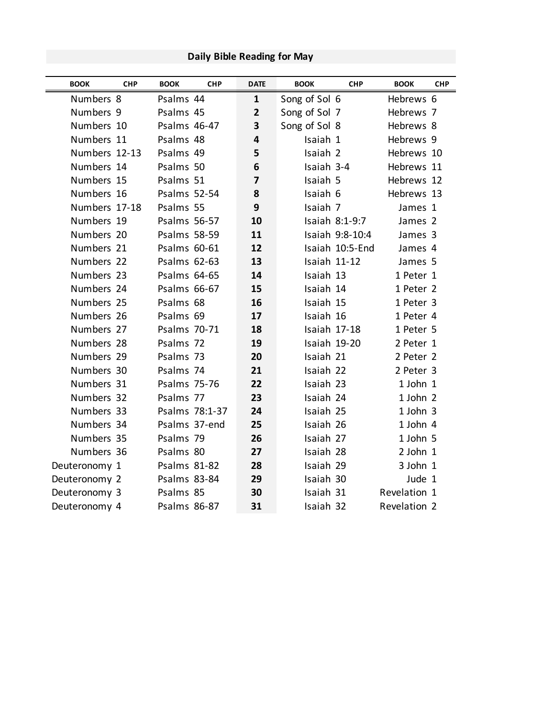# **Daily Bible Reading for May**

| <b>BOOK</b>   | <b>CHP</b> | <b>BOOK</b>         | <b>CHP</b>     | <b>DATE</b>  | <b>BOOK</b>   | <b>CHP</b>      | <b>BOOK</b>  | <b>CHP</b> |
|---------------|------------|---------------------|----------------|--------------|---------------|-----------------|--------------|------------|
| Numbers 8     |            | Psalms 44           |                | $\mathbf{1}$ | Song of Sol 6 |                 | Hebrews 6    |            |
| Numbers 9     |            | Psalms 45           |                | $\mathbf{2}$ | Song of Sol 7 |                 | Hebrews 7    |            |
| Numbers 10    |            | Psalms 46-47        |                | 3            | Song of Sol 8 |                 | Hebrews 8    |            |
| Numbers 11    |            | Psalms 48           |                | 4            | Isaiah 1      |                 | Hebrews 9    |            |
| Numbers 12-13 |            | Psalms 49           |                | 5            | Isaiah 2      |                 | Hebrews 10   |            |
| Numbers 14    |            | Psalms 50           |                | 6            | Isaiah 3-4    |                 | Hebrews 11   |            |
| Numbers 15    |            | Psalms 51           |                | 7            | Isaiah 5      |                 | Hebrews 12   |            |
| Numbers 16    |            | <b>Psalms 52-54</b> |                | 8            | Isaiah 6      |                 | Hebrews 13   |            |
| Numbers 17-18 |            | Psalms 55           |                | 9            | Isaiah 7      |                 | James 1      |            |
| Numbers 19    |            | <b>Psalms 56-57</b> |                | 10           |               | Isaiah 8:1-9:7  | James 2      |            |
| Numbers 20    |            | <b>Psalms 58-59</b> |                | 11           |               | Isaiah 9:8-10:4 | James 3      |            |
| Numbers 21    |            | Psalms 60-61        |                | 12           |               | Isaiah 10:5-End | James 4      |            |
| Numbers 22    |            | Psalms 62-63        |                | 13           | Isaiah 11-12  |                 | James 5      |            |
| Numbers 23    |            | Psalms 64-65        |                | 14           | Isaiah 13     |                 | 1 Peter 1    |            |
| Numbers 24    |            | Psalms 66-67        |                | 15           | Isaiah 14     |                 | 1 Peter 2    |            |
| Numbers 25    |            | Psalms 68           |                | 16           | Isaiah 15     |                 | 1 Peter 3    |            |
| Numbers 26    |            | Psalms 69           |                | 17           | Isaiah 16     |                 | 1 Peter 4    |            |
| Numbers 27    |            | Psalms 70-71        |                | 18           |               | Isaiah 17-18    | 1 Peter 5    |            |
| Numbers 28    |            | Psalms 72           |                | 19           | Isaiah 19-20  |                 | 2 Peter 1    |            |
| Numbers 29    |            | Psalms 73           |                | 20           | Isaiah 21     |                 | 2 Peter 2    |            |
| Numbers 30    |            | Psalms 74           |                | 21           | Isaiah 22     |                 | 2 Peter 3    |            |
| Numbers 31    |            | <b>Psalms 75-76</b> |                | 22           | Isaiah 23     |                 | 1 John 1     |            |
| Numbers 32    |            | Psalms 77           |                | 23           | Isaiah 24     |                 | 1 John 2     |            |
| Numbers 33    |            |                     | Psalms 78:1-37 | 24           | Isaiah 25     |                 | 1 John 3     |            |
| Numbers 34    |            |                     | Psalms 37-end  | 25           | Isaiah 26     |                 | 1 John 4     |            |
| Numbers 35    |            | Psalms 79           |                | 26           | Isaiah 27     |                 | 1 John 5     |            |
| Numbers 36    |            | Psalms 80           |                | 27           | Isaiah 28     |                 | $2$ John $1$ |            |
| Deuteronomy 1 |            | Psalms 81-82        |                | 28           | Isaiah 29     |                 | 3 John 1     |            |
| Deuteronomy 2 |            | Psalms 83-84        |                | 29           | Isaiah 30     |                 | Jude 1       |            |
| Deuteronomy 3 |            | Psalms 85           |                | 30           | Isaiah 31     |                 | Revelation 1 |            |
| Deuteronomy 4 |            | <b>Psalms 86-87</b> |                | 31           | Isaiah 32     |                 | Revelation 2 |            |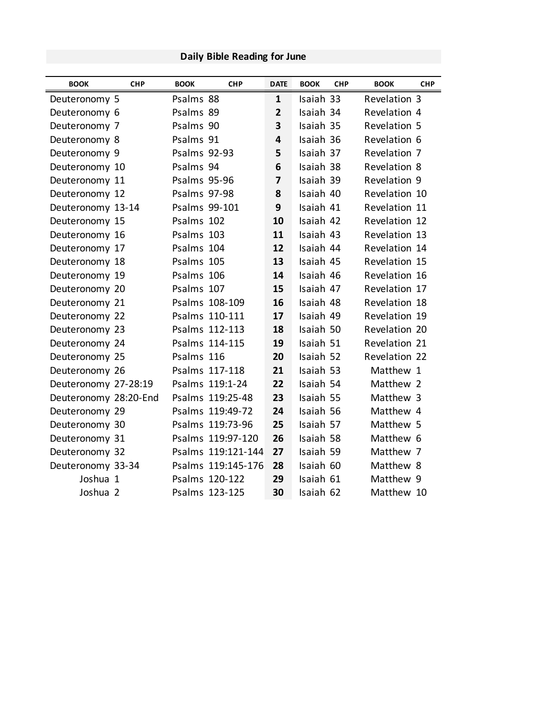| Daily Bible Reading for June |  |
|------------------------------|--|
|                              |  |

| <b>BOOK</b>           | <b>CHP</b> | <b>BOOK</b>         | <b>CHP</b>         | <b>DATE</b>             | <b>BOOK</b> | <b>CHP</b> | <b>BOOK</b>   | <b>CHP</b> |
|-----------------------|------------|---------------------|--------------------|-------------------------|-------------|------------|---------------|------------|
| Deuteronomy 5         |            | Psalms 88           |                    | $\mathbf{1}$            | Isaiah 33   |            | Revelation 3  |            |
| Deuteronomy 6         |            | Psalms 89           |                    | $\overline{2}$          | Isaiah 34   |            | Revelation 4  |            |
| Deuteronomy 7         |            | Psalms 90           |                    | 3                       | Isaiah 35   |            | Revelation 5  |            |
| Deuteronomy 8         |            | Psalms 91           |                    | $\overline{\mathbf{4}}$ | Isaiah 36   |            | Revelation 6  |            |
| Deuteronomy 9         |            | <b>Psalms 92-93</b> |                    | 5                       | Isaiah 37   |            | Revelation 7  |            |
| Deuteronomy 10        |            | Psalms 94           |                    | 6                       | Isaiah 38   |            | Revelation 8  |            |
| Deuteronomy 11        |            | Psalms 95-96        |                    | $\overline{\mathbf{z}}$ | Isaiah 39   |            | Revelation 9  |            |
| Deuteronomy 12        |            | Psalms 97-98        |                    | 8                       | Isaiah 40   |            | Revelation 10 |            |
| Deuteronomy 13-14     |            |                     | Psalms 99-101      | 9                       | Isaiah 41   |            | Revelation 11 |            |
| Deuteronomy 15        |            | Psalms 102          |                    | 10                      | Isaiah 42   |            | Revelation 12 |            |
| Deuteronomy 16        |            | Psalms 103          |                    | 11                      | Isaiah 43   |            | Revelation 13 |            |
| Deuteronomy 17        |            | Psalms 104          |                    | 12                      | Isaiah 44   |            | Revelation 14 |            |
| Deuteronomy 18        |            | Psalms 105          |                    | 13                      | Isaiah 45   |            | Revelation 15 |            |
| Deuteronomy 19        |            | Psalms 106          |                    | 14                      | Isaiah 46   |            | Revelation 16 |            |
| Deuteronomy 20        |            | Psalms 107          |                    | 15                      | Isaiah 47   |            | Revelation 17 |            |
| Deuteronomy 21        |            |                     | Psalms 108-109     | 16                      | Isaiah 48   |            | Revelation 18 |            |
| Deuteronomy 22        |            |                     | Psalms 110-111     | 17                      | Isaiah 49   |            | Revelation 19 |            |
| Deuteronomy 23        |            |                     | Psalms 112-113     | 18                      | Isaiah 50   |            | Revelation 20 |            |
| Deuteronomy 24        |            |                     | Psalms 114-115     | 19                      | Isaiah 51   |            | Revelation 21 |            |
| Deuteronomy 25        |            | Psalms 116          |                    | 20                      | Isaiah 52   |            | Revelation 22 |            |
| Deuteronomy 26        |            |                     | Psalms 117-118     | 21                      | Isaiah 53   |            | Matthew 1     |            |
| Deuteronomy 27-28:19  |            |                     | Psalms 119:1-24    | 22                      | Isaiah 54   |            | Matthew 2     |            |
| Deuteronomy 28:20-End |            |                     | Psalms 119:25-48   | 23                      | Isaiah 55   |            | Matthew 3     |            |
| Deuteronomy 29        |            |                     | Psalms 119:49-72   | 24                      | Isaiah 56   |            | Matthew 4     |            |
| Deuteronomy 30        |            |                     | Psalms 119:73-96   | 25                      | Isaiah 57   |            | Matthew 5     |            |
| Deuteronomy 31        |            |                     | Psalms 119:97-120  | 26                      | Isaiah 58   |            | Matthew 6     |            |
| Deuteronomy 32        |            |                     | Psalms 119:121-144 | 27                      | Isaiah 59   |            | Matthew 7     |            |
| Deuteronomy 33-34     |            |                     | Psalms 119:145-176 | 28                      | Isaiah 60   |            | Matthew 8     |            |
| Joshua 1              |            |                     | Psalms 120-122     | 29                      | Isaiah 61   |            | Matthew 9     |            |
| Joshua 2              |            |                     | Psalms 123-125     | 30                      | Isaiah 62   |            | Matthew 10    |            |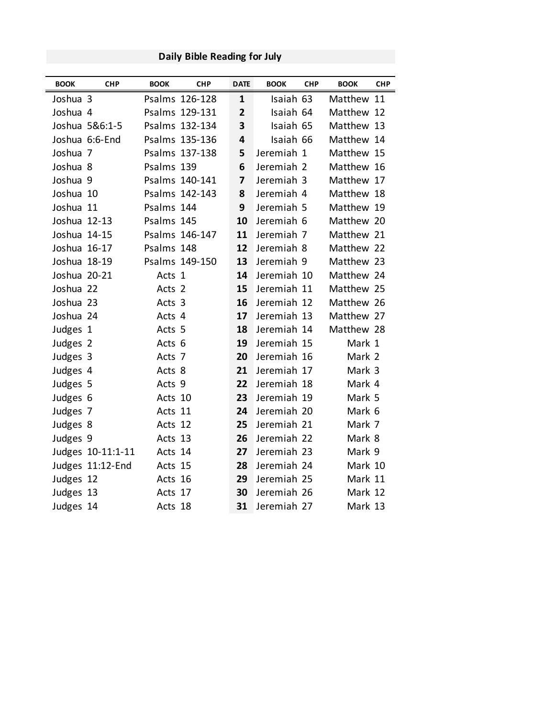| <b>BOOK</b>  | <b>CHP</b>        | <b>BOOK</b> | <b>CHP</b>     | <b>DATE</b>             | <b>BOOK</b> | <b>CHP</b> | <b>BOOK</b> | <b>CHP</b> |
|--------------|-------------------|-------------|----------------|-------------------------|-------------|------------|-------------|------------|
| Joshua 3     |                   |             | Psalms 126-128 | $\mathbf{1}$            | Isaiah 63   |            | Matthew 11  |            |
| Joshua 4     |                   |             | Psalms 129-131 | $\overline{2}$          | Isaiah 64   |            | Matthew 12  |            |
|              | Joshua 5&6:1-5    |             | Psalms 132-134 | 3                       | Isaiah 65   |            | Matthew 13  |            |
|              | Joshua 6:6-End    |             | Psalms 135-136 | 4                       | Isaiah 66   |            | Matthew 14  |            |
| Joshua 7     |                   |             | Psalms 137-138 | 5                       | Jeremiah 1  |            | Matthew 15  |            |
| Joshua 8     |                   | Psalms 139  |                | 6                       | Jeremiah 2  |            | Matthew 16  |            |
| Joshua 9     |                   |             | Psalms 140-141 | $\overline{\mathbf{z}}$ | Jeremiah 3  |            | Matthew 17  |            |
| Joshua 10    |                   |             | Psalms 142-143 | 8                       | Jeremiah 4  |            | Matthew 18  |            |
| Joshua 11    |                   | Psalms 144  |                | 9                       | Jeremiah 5  |            | Matthew 19  |            |
| Joshua 12-13 |                   | Psalms 145  |                | 10                      | Jeremiah 6  |            | Matthew 20  |            |
| Joshua 14-15 |                   |             | Psalms 146-147 | 11                      | Jeremiah 7  |            | Matthew 21  |            |
| Joshua 16-17 |                   | Psalms 148  |                | 12                      | Jeremiah 8  |            | Matthew 22  |            |
| Joshua 18-19 |                   |             | Psalms 149-150 | 13                      | Jeremiah 9  |            | Matthew 23  |            |
| Joshua 20-21 |                   | Acts 1      |                | 14                      | Jeremiah 10 |            | Matthew 24  |            |
| Joshua 22    |                   | Acts 2      |                | 15                      | Jeremiah 11 |            | Matthew 25  |            |
| Joshua 23    |                   | Acts 3      |                | 16                      | Jeremiah 12 |            | Matthew 26  |            |
| Joshua 24    |                   | Acts 4      |                | 17                      | Jeremiah 13 |            | Matthew 27  |            |
| Judges 1     |                   | Acts 5      |                | 18                      | Jeremiah 14 |            | Matthew 28  |            |
| Judges 2     |                   | Acts 6      |                | 19                      | Jeremiah 15 |            | Mark 1      |            |
| Judges 3     |                   | Acts 7      |                | 20                      | Jeremiah 16 |            | Mark 2      |            |
| Judges 4     |                   | Acts 8      |                | 21                      | Jeremiah 17 |            | Mark 3      |            |
| Judges 5     |                   | Acts 9      |                | 22                      | Jeremiah 18 |            | Mark 4      |            |
| Judges 6     |                   | Acts 10     |                | 23                      | Jeremiah 19 |            | Mark 5      |            |
| Judges 7     |                   | Acts 11     |                | 24                      | Jeremiah 20 |            | Mark 6      |            |
| Judges 8     |                   | Acts 12     |                | 25                      | Jeremiah 21 |            | Mark 7      |            |
| Judges 9     |                   | Acts 13     |                | 26                      | Jeremiah 22 |            | Mark 8      |            |
|              | Judges 10-11:1-11 | Acts 14     |                | 27                      | Jeremiah 23 |            | Mark 9      |            |
|              | Judges 11:12-End  | Acts 15     |                | 28                      | Jeremiah 24 |            | Mark 10     |            |
| Judges 12    |                   | Acts 16     |                | 29                      | Jeremiah 25 |            | Mark 11     |            |
| Judges 13    |                   | Acts 17     |                | 30                      | Jeremiah 26 |            | Mark 12     |            |
| Judges 14    |                   | Acts 18     |                | 31                      | Jeremiah 27 |            | Mark 13     |            |

**Daily Bible Reading for July**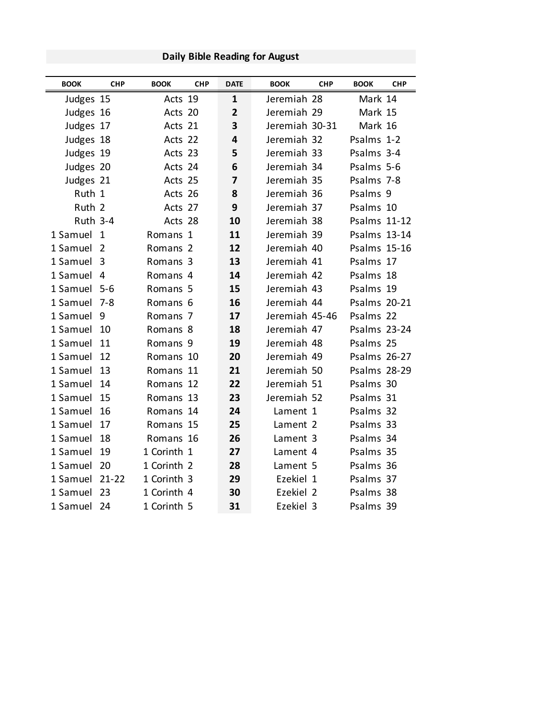| <b>BOOK</b>     | <b>CHP</b>     | <b>BOOK</b>         | <b>CHP</b> | <b>DATE</b>    | <b>BOOK</b>    | <b>CHP</b> | <b>BOOK</b>         | <b>CHP</b> |
|-----------------|----------------|---------------------|------------|----------------|----------------|------------|---------------------|------------|
| Judges 15       |                | Acts 19             |            | $\mathbf{1}$   | Jeremiah 28    |            | Mark 14             |            |
| Judges 16       |                | Acts 20             |            | $\overline{2}$ | Jeremiah 29    |            | Mark 15             |            |
| Judges 17       |                | Acts 21             |            | 3              | Jeremiah 30-31 |            | Mark 16             |            |
| Judges 18       |                | Acts 22             |            | 4              | Jeremiah 32    |            | Psalms 1-2          |            |
| Judges 19       |                | Acts 23             |            | 5              | Jeremiah 33    |            | Psalms 3-4          |            |
| Judges 20       |                | Acts 24             |            | 6              | Jeremiah 34    |            | Psalms 5-6          |            |
| Judges 21       |                | Acts 25             |            | 7              | Jeremiah 35    |            | Psalms 7-8          |            |
| Ruth 1          |                | Acts 26             |            | 8              | Jeremiah 36    |            | Psalms 9            |            |
| Ruth 2          |                | Acts 27             |            | 9              | Jeremiah 37    |            | Psalms 10           |            |
| <b>Ruth 3-4</b> |                | Acts 28             |            | 10             | Jeremiah 38    |            | <b>Psalms 11-12</b> |            |
| 1 Samuel        | $\mathbf{1}$   | Romans 1            |            | 11             | Jeremiah 39    |            | Psalms 13-14        |            |
| 1 Samuel        | 2              | Romans 2            |            | 12             | Jeremiah 40    |            | Psalms 15-16        |            |
| 1 Samuel        | $\overline{3}$ | Romans 3            |            | 13             | Jeremiah 41    |            | Psalms 17           |            |
| 1 Samuel        | 4              | Romans 4            |            | 14             | Jeremiah 42    |            | Psalms 18           |            |
| 1 Samuel 5-6    |                | Romans 5            |            | 15             | Jeremiah 43    |            | Psalms 19           |            |
| 1 Samuel        | 7-8            | Romans 6            |            | 16             | Jeremiah 44    |            | <b>Psalms 20-21</b> |            |
| 1 Samuel        | 9              | Romans 7            |            | 17             | Jeremiah 45-46 |            | Psalms 22           |            |
| 1 Samuel        | 10             | Romans 8            |            | 18             | Jeremiah 47    |            | <b>Psalms 23-24</b> |            |
| 1 Samuel        | 11             | Romans <sub>9</sub> |            | 19             | Jeremiah 48    |            | Psalms 25           |            |
| 1 Samuel        | 12             | Romans 10           |            | 20             | Jeremiah 49    |            | <b>Psalms 26-27</b> |            |
| 1 Samuel        | 13             | Romans 11           |            | 21             | Jeremiah 50    |            | <b>Psalms 28-29</b> |            |
| 1 Samuel        | 14             | Romans 12           |            | 22             | Jeremiah 51    |            | Psalms 30           |            |
| 1 Samuel        | 15             | Romans 13           |            | 23             | Jeremiah 52    |            | Psalms 31           |            |
| 1 Samuel        | 16             | Romans 14           |            | 24             | Lament 1       |            | Psalms 32           |            |
| 1 Samuel        | 17             | Romans 15           |            | 25             | Lament 2       |            | Psalms 33           |            |
| 1 Samuel        | 18             | Romans 16           |            | 26             | Lament 3       |            | Psalms 34           |            |
| 1 Samuel        | 19             | 1 Corinth 1         |            | 27             | Lament 4       |            | Psalms 35           |            |
| 1 Samuel        | 20             | 1 Corinth 2         |            | 28             | Lament 5       |            | Psalms 36           |            |
| 1 Samuel        | 21-22          | 1 Corinth 3         |            | 29             | Ezekiel 1      |            | Psalms 37           |            |
| 1 Samuel        | 23             | 1 Corinth 4         |            | 30             | Ezekiel 2      |            | Psalms 38           |            |
| 1 Samuel        | 24             | 1 Corinth 5         |            | 31             | Ezekiel 3      |            | Psalms 39           |            |

**Daily Bible Reading for August**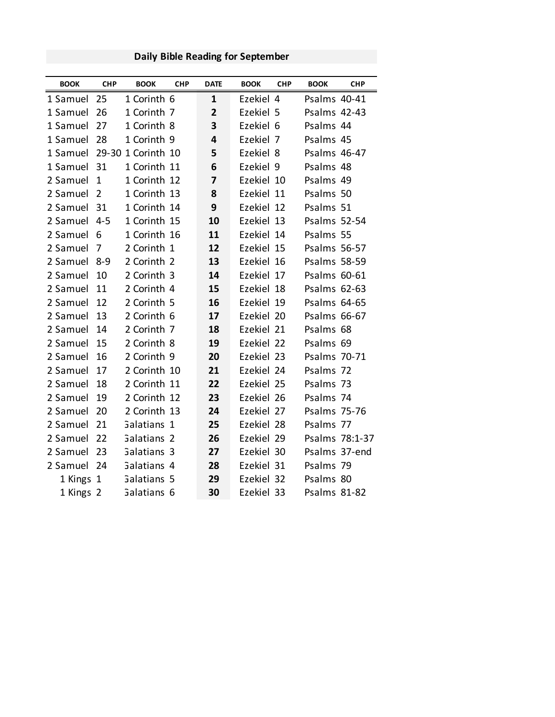### **Daily Bible Reading for September**

| <b>BOOK</b>                 | <b>CHP</b>     | <b>BOOK</b>            | <b>CHP</b> | <b>DATE</b>             | <b>BOOK</b> | <b>CHP</b> | <b>BOOK</b>         | <b>CHP</b>     |
|-----------------------------|----------------|------------------------|------------|-------------------------|-------------|------------|---------------------|----------------|
| 1 Samuel                    | 25             | 1 Corinth 6            |            | 1                       | Ezekiel 4   |            | Psalms 40-41        |                |
| 1 Samuel                    | 26             | 1 Corinth 7            |            | $\overline{2}$          | Ezekiel 5   |            | Psalms 42-43        |                |
| 1 Samuel                    | 27             | 1 Corinth 8            |            | 3                       | Ezekiel 6   |            | Psalms 44           |                |
| 1 Samuel                    | 28             | 1 Corinth 9            |            | 4                       | Ezekiel 7   |            | Psalms 45           |                |
| 1 Samuel 29-30 1 Corinth 10 |                |                        |            | 5                       | Ezekiel 8   |            | Psalms 46-47        |                |
| 1 Samuel                    | 31             | 1 Corinth 11           |            | 6                       | Ezekiel 9   |            | Psalms 48           |                |
| 2 Samuel                    | $\mathbf{1}$   | 1 Corinth 12           |            | $\overline{\mathbf{z}}$ | Ezekiel 10  |            | Psalms 49           |                |
| 2 Samuel                    | $\overline{2}$ | 1 Corinth 13           |            | 8                       | Ezekiel 11  |            | Psalms 50           |                |
| 2 Samuel                    | 31             | 1 Corinth 14           |            | 9                       | Ezekiel 12  |            | Psalms 51           |                |
| 2 Samuel                    | $4 - 5$        | 1 Corinth 15           |            | 10                      | Ezekiel 13  |            | Psalms 52-54        |                |
| 2 Samuel                    | 6              | 1 Corinth 16           |            | 11                      | Ezekiel 14  |            | Psalms 55           |                |
| 2 Samuel                    | 7              | 2 Corinth 1            |            | 12                      | Ezekiel 15  |            | Psalms 56-57        |                |
| 2 Samuel                    | $8 - 9$        | 2 Corinth 2            |            | 13                      | Ezekiel 16  |            | <b>Psalms 58-59</b> |                |
| 2 Samuel                    | 10             | 2 Corinth 3            |            | 14                      | Ezekiel 17  |            | Psalms 60-61        |                |
| 2 Samuel                    | 11             | 2 Corinth 4            |            | 15                      | Ezekiel 18  |            | Psalms 62-63        |                |
| 2 Samuel                    | 12             | 2 Corinth 5            |            | 16                      | Ezekiel 19  |            | Psalms 64-65        |                |
| 2 Samuel                    | 13             | 2 Corinth 6            |            | 17                      | Ezekiel 20  |            | Psalms 66-67        |                |
| 2 Samuel                    | 14             | 2 Corinth 7            |            | 18                      | Ezekiel 21  |            | Psalms 68           |                |
| 2 Samuel                    | 15             | 2 Corinth 8            |            | 19                      | Ezekiel 22  |            | Psalms 69           |                |
| 2 Samuel                    | 16             | 2 Corinth 9            |            | 20                      | Ezekiel 23  |            | Psalms 70-71        |                |
| 2 Samuel                    | 17             | 2 Corinth 10           |            | 21                      | Ezekiel 24  |            | Psalms 72           |                |
| 2 Samuel                    | 18             | 2 Corinth 11           |            | 22                      | Ezekiel 25  |            | Psalms 73           |                |
| 2 Samuel                    | 19             | 2 Corinth 12           |            | 23                      | Ezekiel 26  |            | Psalms 74           |                |
| 2 Samuel                    | 20             | 2 Corinth 13           |            | 24                      | Ezekiel 27  |            | Psalms 75-76        |                |
| 2 Samuel                    | 21             | Galatians 1            |            | 25                      | Ezekiel 28  |            | Psalms 77           |                |
| 2 Samuel                    | 22             | Galatians <sub>2</sub> |            | 26                      | Ezekiel 29  |            |                     | Psalms 78:1-37 |
| 2 Samuel                    | 23             | Galatians 3            |            | 27                      | Ezekiel 30  |            | Psalms 37-end       |                |
| 2 Samuel                    | 24             | Galatians 4            |            | 28                      | Ezekiel 31  |            | Psalms 79           |                |
| 1 Kings 1                   |                | Galatians 5            |            | 29                      | Ezekiel 32  |            | Psalms 80           |                |
| 1 Kings 2                   |                | Galatians 6            |            | 30                      | Ezekiel 33  |            | Psalms 81-82        |                |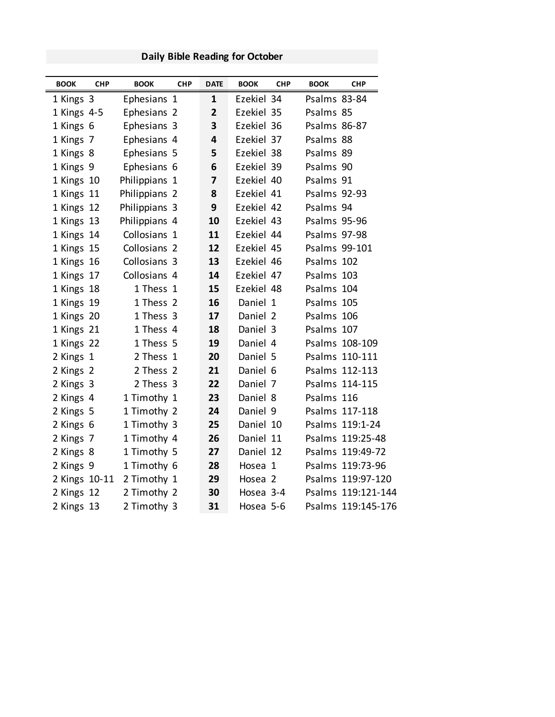## **BOOK CHP BOOK CHP DATE BOOK CHP BOOK CHP** 1 Kings 3 Ephesians 1 **1** Ezekiel 34 Psalms 83-84 1 Kings 4-5 Ephesians 2 **2** Ezekiel 35 Psalms 85 1 Kings 6 Ephesians 3 **3** Ezekiel 36 Psalms 86-87 1 Kings 7 Ephesians 4 **4** Ezekiel 37 Psalms 88 1 Kings 8 Ephesians 5 **5** Ezekiel 38 Psalms 89 1 Kings 9 Ephesians 6 **6** Ezekiel 39 Psalms 90 1 Kings 10 Philippians 1 **7** Ezekiel 40 Psalms 91 1 Kings 11 Philippians 2 **8** Ezekiel 41 Psalms 92-93 1 Kings 12 Philippians 3 **9** Ezekiel 42 Psalms 94 1 Kings 13 Philippians 4 **10** Ezekiel 43 Psalms 95-96 1 Kings 14 Collosians 1 **11** Ezekiel 44 Psalms 97-98 1 Kings 15 Collosians 2 **12** Ezekiel 45 Psalms 99-101 1 Kings 16 Collosians 3 **13** Ezekiel 46 Psalms 102 1 Kings 17 Collosians 4 **14** Ezekiel 47 Psalms 103 1 Kings 18 1 Thess 1 **15** Ezekiel 48 Psalms 104 1 Kings 19 1 Thess 2 **16** Daniel 1 Psalms 105 1 Kings 20 1 Thess 3 **17** Daniel 2 Psalms 106 1 Kings 21 1 Thess 4 **18** Daniel 3 Psalms 107 1 Kings 22 1 Thess 5 **19** Daniel 4 Psalms 108-109 2 Kings 1 2 Thess 1 **20** Daniel 5 Psalms 110-111 2 Kings 2 2 Thess 2 **21** Daniel 6 Psalms 112-113 2 Kings 3 2 Thess 3 **22** Daniel 7 Psalms 114-115 2 Kings 4 1 Timothy 1 **23** Daniel 8 Psalms 116 2 Kings 5 1 Timothy 2 **24** Daniel 9 Psalms 117-118 2 Kings 6 1 Timothy 3 **25** Daniel 10 Psalms 119:1-24 2 Kings 7 1 Timothy 4 **26** Daniel 11 Psalms 119:25-48 2 Kings 8 1 Timothy 5 **27** Daniel 12 Psalms 119:49-72 2 Kings 9 1 Timothy 6 **28** Hosea 1 Psalms 119:73-96 2 Kings 10-11 2 Timothy 1 **29** Hosea 2 Psalms 119:97-120 2 Kings 12 2 Timothy 2 **30** Hosea 3-4 Psalms 119:121-144 2 Kings 13 2 Timothy 3 **31** Hosea 5-6 Psalms 119:145-176

#### **Daily Bible Reading for October**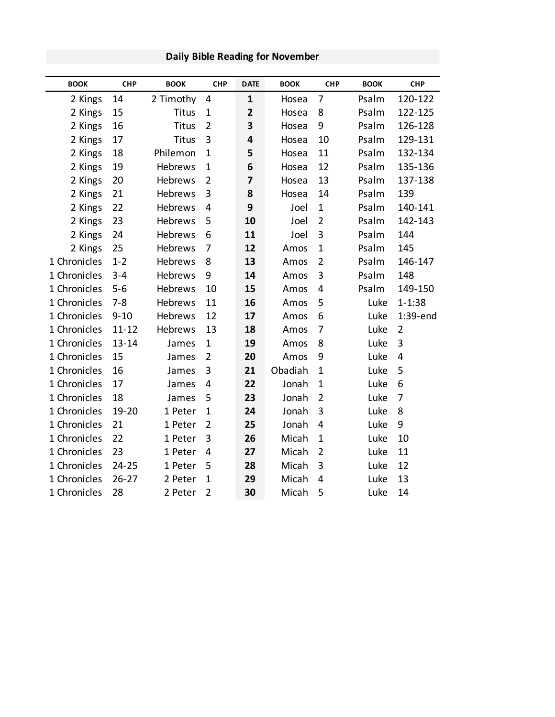| <b>BOOK</b>  | <b>CHP</b> | <b>BOOK</b>    | <b>CHP</b>     | <b>DATE</b>             | <b>BOOK</b> | <b>CHP</b>     | <b>BOOK</b> | <b>CHP</b>     |
|--------------|------------|----------------|----------------|-------------------------|-------------|----------------|-------------|----------------|
| 2 Kings      | 14         | 2 Timothy      | 4              | 1                       | Hosea       | 7              | Psalm       | 120-122        |
| 2 Kings      | 15         | <b>Titus</b>   | $\mathbf{1}$   | $\overline{\mathbf{2}}$ | Hosea       | 8              | Psalm       | 122-125        |
| 2 Kings      | 16         | <b>Titus</b>   | $\overline{2}$ | 3                       | Hosea       | 9              | Psalm       | 126-128        |
| 2 Kings      | 17         | <b>Titus</b>   | 3              | 4                       | Hosea       | 10             | Psalm       | 129-131        |
| 2 Kings      | 18         | Philemon       | $\mathbf{1}$   | 5                       | Hosea       | 11             | Psalm       | 132-134        |
| 2 Kings      | 19         | <b>Hebrews</b> | $\mathbf{1}$   | 6                       | Hosea       | 12             | Psalm       | 135-136        |
| 2 Kings      | 20         | Hebrews        | $\overline{2}$ | 7                       | Hosea       | 13             | Psalm       | 137-138        |
| 2 Kings      | 21         | Hebrews        | 3              | 8                       | Hosea       | 14             | Psalm       | 139            |
| 2 Kings      | 22         | Hebrews        | 4              | 9                       | Joel        | $\mathbf 1$    | Psalm       | 140-141        |
| 2 Kings      | 23         | Hebrews        | 5              | 10                      | Joel        | $\overline{2}$ | Psalm       | 142-143        |
| 2 Kings      | 24         | Hebrews        | 6              | 11                      | Joel        | 3              | Psalm       | 144            |
| 2 Kings      | 25         | Hebrews        | 7              | 12                      | Amos        | 1              | Psalm       | 145            |
| 1 Chronicles | $1 - 2$    | Hebrews        | 8              | 13                      | Amos        | $\overline{2}$ | Psalm       | 146-147        |
| 1 Chronicles | $3 - 4$    | Hebrews        | 9              | 14                      | Amos        | 3              | Psalm       | 148            |
| 1 Chronicles | $5 - 6$    | Hebrews        | 10             | 15                      | Amos        | 4              | Psalm       | 149-150        |
| 1 Chronicles | $7 - 8$    | Hebrews        | 11             | 16                      | Amos        | 5              | Luke        | $1 - 1:38$     |
| 1 Chronicles | $9 - 10$   | Hebrews        | 12             | 17                      | Amos        | 6              | Luke        | 1:39-end       |
| 1 Chronicles | $11 - 12$  | Hebrews        | 13             | 18                      | Amos        | 7              | Luke        | $\overline{2}$ |
| 1 Chronicles | $13 - 14$  | James          | $\mathbf{1}$   | 19                      | Amos        | 8              | Luke        | 3              |
| 1 Chronicles | 15         | James          | $\overline{2}$ | 20                      | Amos        | 9              | Luke        | $\overline{4}$ |
| 1 Chronicles | 16         | James          | 3              | 21                      | Obadiah     | 1              | Luke        | 5              |
| 1 Chronicles | 17         | James          | 4              | 22                      | Jonah       | $\mathbf{1}$   | Luke        | 6              |
| 1 Chronicles | 18         | James          | 5              | 23                      | Jonah       | $\overline{2}$ | Luke        | $\overline{7}$ |
| 1 Chronicles | 19-20      | 1 Peter        | $\mathbf{1}$   | 24                      | Jonah       | 3              | Luke        | 8              |
| 1 Chronicles | 21         | 1 Peter        | $\overline{2}$ | 25                      | Jonah       | 4              | Luke        | 9              |
| 1 Chronicles | 22         | 1 Peter        | 3              | 26                      | Micah       | $\overline{1}$ | Luke        | 10             |
| 1 Chronicles | 23         | 1 Peter        | 4              | 27                      | Micah       | $\overline{2}$ | Luke        | 11             |
| 1 Chronicles | 24-25      | 1 Peter        | 5              | 28                      | Micah       | 3              | Luke        | 12             |
| 1 Chronicles | $26 - 27$  | 2 Peter        | $\mathbf{1}$   | 29                      | Micah       | 4              | Luke        | 13             |
| 1 Chronicles | 28         | 2 Peter        | $\overline{2}$ | 30                      | Micah       | 5              | Luke        | 14             |

### **Daily Bible Reading for November**